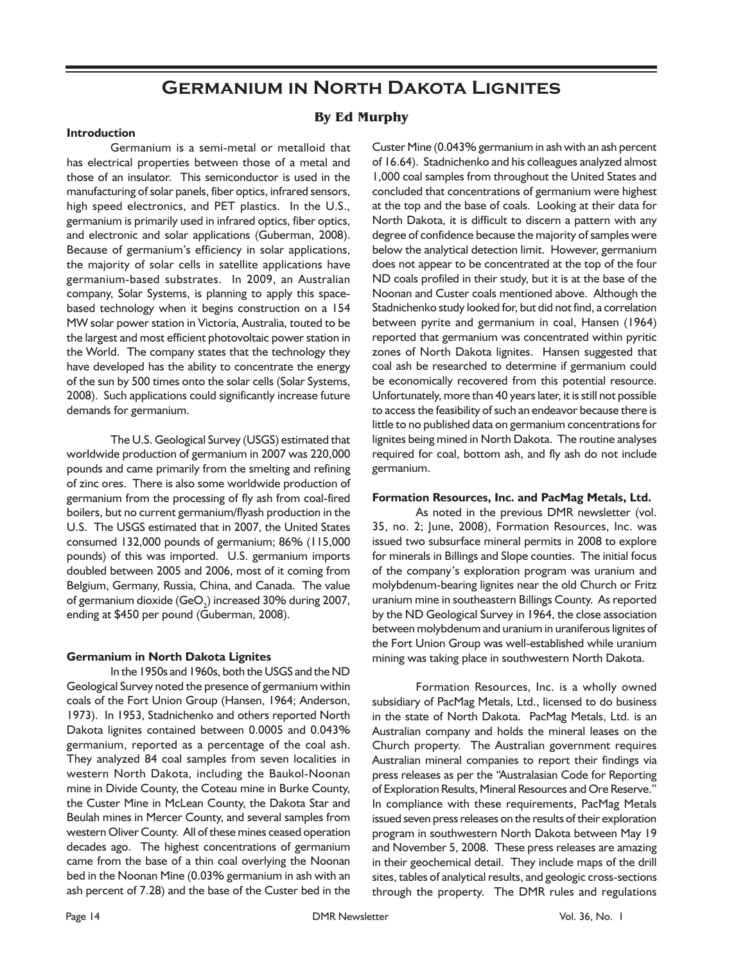# **Germanium in North Dakota Lignites**

## **By Ed Murphy**

### **Introduction**

Germanium is a semi-metal or metalloid that has electrical properties between those of a metal and those of an insulator. This semiconductor is used in the manufacturing of solar panels, fiber optics, infrared sensors, high speed electronics, and PET plastics. In the U.S., germanium is primarily used in infrared optics, fiber optics, and electronic and solar applications (Guberman, 2008). Because of germanium's efficiency in solar applications, the majority of solar cells in satellite applications have germanium-based substrates. In 2009, an Australian company, Solar Systems, is planning to apply this spacebased technology when it begins construction on a 154 MW solar power station in Victoria, Australia, touted to be the largest and most efficient photovoltaic power station in the World. The company states that the technology they have developed has the ability to concentrate the energy of the sun by 500 times onto the solar cells (Solar Systems, 2008). Such applications could significantly increase future demands for germanium.

The U.S. Geological Survey (USGS) estimated that worldwide production of germanium in 2007 was 220,000 pounds and came primarily from the smelting and refining of zinc ores. There is also some worldwide production of germanium from the processing of fly ash from coal-fired boilers, but no current germanium/flyash production in the U.S. The USGS estimated that in 2007, the United States consumed 132,000 pounds of germanium; 86% (115,000 pounds) of this was imported. U.S. germanium imports doubled between 2005 and 2006, most of it coming from Belgium, Germany, Russia, China, and Canada. The value of germanium dioxide (GeO $_{\textrm{\tiny{2}}}$ ) increased 30% during 2007, ending at \$450 per pound (Guberman, 2008).

#### **Germanium in North Dakota Lignites**

In the 1950s and 1960s, both the USGS and the ND Geological Survey noted the presence of germanium within coals of the Fort Union Group (Hansen, 1964; Anderson, 1973). In 1953, Stadnichenko and others reported North Dakota lignites contained between 0.0005 and 0.043% germanium, reported as a percentage of the coal ash. They analyzed 84 coal samples from seven localities in western North Dakota, including the Baukol-Noonan mine in Divide County, the Coteau mine in Burke County, the Custer Mine in McLean County, the Dakota Star and Beulah mines in Mercer County, and several samples from western Oliver County. All of these mines ceased operation decades ago. The highest concentrations of germanium came from the base of a thin coal overlying the Noonan bed in the Noonan Mine (0.03% germanium in ash with an ash percent of 7.28) and the base of the Custer bed in the

Custer Mine (0.043% germanium in ash with an ash percent of 16.64). Stadnichenko and his colleagues analyzed almost 1,000 coal samples from throughout the United States and concluded that concentrations of germanium were highest at the top and the base of coals. Looking at their data for North Dakota, it is difficult to discern a pattern with any degree of confidence because the majority of samples were below the analytical detection limit. However, germanium does not appear to be concentrated at the top of the four ND coals profiled in their study, but it is at the base of the Noonan and Custer coals mentioned above. Although the Stadnichenko study looked for, but did not find, a correlation between pyrite and germanium in coal, Hansen (1964) reported that germanium was concentrated within pyritic zones of North Dakota lignites. Hansen suggested that coal ash be researched to determine if germanium could be economically recovered from this potential resource. Unfortunately, more than 40 years later, it is still not possible to access the feasibility of such an endeavor because there is little to no published data on germanium concentrations for lignites being mined in North Dakota. The routine analyses required for coal, bottom ash, and fly ash do not include germanium.

#### **Formation Resources, Inc. and PacMag Metals, Ltd.**

As noted in the previous DMR newsletter (vol. 35, no. 2; June, 2008), Formation Resources, Inc. was issued two subsurface mineral permits in 2008 to explore for minerals in Billings and Slope counties. The initial focus of the company's exploration program was uranium and molybdenum-bearing lignites near the old Church or Fritz uranium mine in southeastern Billings County. As reported by the ND Geological Survey in 1964, the close association between molybdenum and uranium in uraniferous lignites of the Fort Union Group was well-established while uranium mining was taking place in southwestern North Dakota.

Formation Resources, Inc. is a wholly owned subsidiary of PacMag Metals, Ltd., licensed to do business in the state of North Dakota. PacMag Metals, Ltd. is an Australian company and holds the mineral leases on the Church property. The Australian government requires Australian mineral companies to report their findings via press releases as per the "Australasian Code for Reporting of Exploration Results, Mineral Resources and Ore Reserve." In compliance with these requirements, PacMag Metals issued seven press releases on the results of their exploration program in southwestern North Dakota between May 19 and November 5, 2008. These press releases are amazing in their geochemical detail. They include maps of the drill sites, tables of analytical results, and geologic cross-sections through the property. The DMR rules and regulations